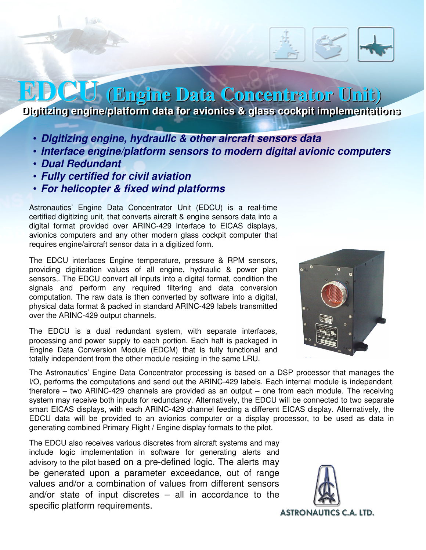# **EDCU (Engine Data Concentrator Unit)**

**Digitizing engine/platform data for avionics & glass cockpit implementations**

- **Digitizing engine, hydraulic & other aircraft sensors data**
- **Interface engine/platform sensors to modern digital avionic computers**
- **Dual Redundant**
- **Fully certified for civil aviation**
- **For helicopter & fixed wind platforms**

Astronautics' Engine Data Concentrator Unit (EDCU) is a real-time certified digitizing unit, that converts aircraft & engine sensors data into a digital format provided over ARINC-429 interface to EICAS displays, avionics computers and any other modern glass cockpit computer that requires engine/aircraft sensor data in a digitized form.

The EDCU interfaces Engine temperature, pressure & RPM sensors, providing digitization values of all engine, hydraulic & power plan sensors,. The EDCU convert all inputs into a digital format, condition the signals and perform any required filtering and data conversion computation. The raw data is then converted by software into a digital, physical data format & packed in standard ARINC-429 labels transmitted over the ARINC-429 output channels.

The EDCU is a dual redundant system, with separate interfaces, processing and power supply to each portion. Each half is packaged in Engine Data Conversion Module (EDCM) that is fully functional and totally independent from the other module residing in the same LRU.

The Astronautics' Engine Data Concentrator processing is based on a DSP processor that manages the I/O, performs the computations and send out the ARINC-429 labels. Each internal module is independent, therefore – two ARINC-429 channels are provided as an output – one from each module. The receiving system may receive both inputs for redundancy. Alternatively, the EDCU will be connected to two separate smart EICAS displays, with each ARINC-429 channel feeding a different EICAS display. Alternatively, the EDCU data will be provided to an avionics computer or a display processor, to be used as data in generating combined Primary Flight / Engine display formats to the pilot.

The EDCU also receives various discretes from aircraft systems and may include logic implementation in software for generating alerts and advisory to the pilot based on a pre-defined logic. The alerts may be generated upon a parameter exceedance, out of range values and/or a combination of values from different sensors and/or state of input discretes – all in accordance to the specific platform requirements.